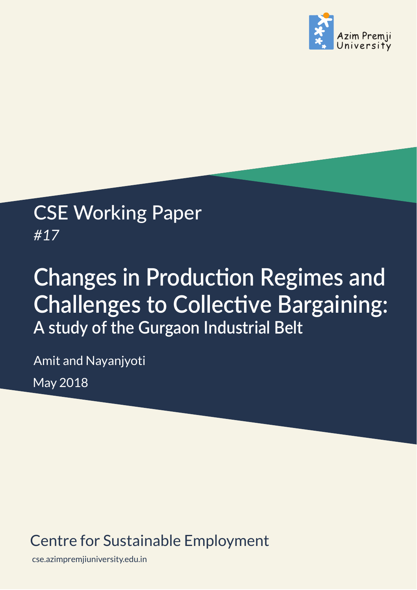

# CSE Working Paper *#17*

# **Changes in Production Regimes and Challenges to Collective Bargaining: A study of the Gurgaon Industrial Belt**

May 2018 Amit and Nayanjyoti

# Centre for Sustainable Employment

cse.azimpremjiuniversity.edu.in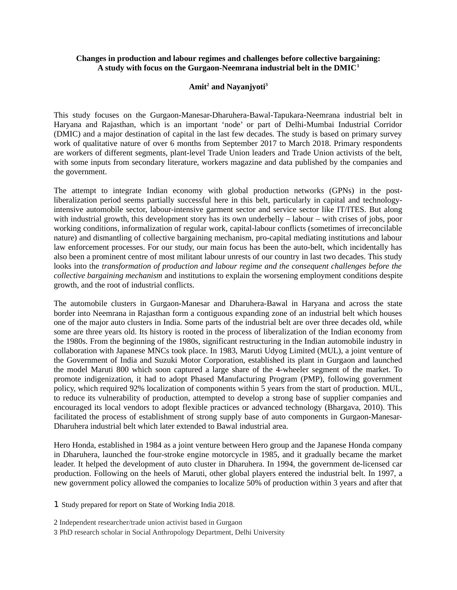# **Changes in production and labour regimes and challenges before collective bargaining: A study with focus on the Gurgaon-Neemrana industrial belt in the DMIC1**

### **Amit2 and Nayanjyoti3**

This study focuses on the Gurgaon-Manesar-Dharuhera-Bawal-Tapukara-Neemrana industrial belt in Haryana and Rajasthan, which is an important 'node' or part of Delhi-Mumbai Industrial Corridor (DMIC) and a major destination of capital in the last few decades. The study is based on primary survey work of qualitative nature of over 6 months from September 2017 to March 2018. Primary respondents are workers of different segments, plant-level Trade Union leaders and Trade Union activists of the belt, with some inputs from secondary literature, workers magazine and data published by the companies and the government.

The attempt to integrate Indian economy with global production networks (GPNs) in the postliberalization period seems partially successful here in this belt, particularly in capital and technologyintensive automobile sector, labour-intensive garment sector and service sector like IT/ITES. But along with industrial growth, this development story has its own underbelly – labour – with crises of jobs, poor working conditions, informalization of regular work, capital-labour conflicts (sometimes of irreconcilable nature) and dismantling of collective bargaining mechanism, pro-capital mediating institutions and labour law enforcement processes. For our study, our main focus has been the auto-belt, which incidentally has also been a prominent centre of most militant labour unrests of our country in last two decades. This study looks into the *transformation of production and labour regime and the consequent challenges before the collective bargaining mechanism* and institutions to explain the worsening employment conditions despite growth, and the root of industrial conflicts.

The automobile clusters in Gurgaon-Manesar and Dharuhera-Bawal in Haryana and across the state border into Neemrana in Rajasthan form a contiguous expanding zone of an industrial belt which houses one of the major auto clusters in India. Some parts of the industrial belt are over three decades old, while some are three years old. Its history is rooted in the process of liberalization of the Indian economy from the 1980s. From the beginning of the 1980s, significant restructuring in the Indian automobile industry in collaboration with Japanese MNCs took place. In 1983, Maruti Udyog Limited (MUL), a joint venture of the Government of India and Suzuki Motor Corporation, established its plant in Gurgaon and launched the model Maruti 800 which soon captured a large share of the 4-wheeler segment of the market. To promote indigenization, it had to adopt Phased Manufacturing Program (PMP), following government policy, which required 92% localization of components within 5 years from the start of production. MUL, to reduce its vulnerability of production, attempted to develop a strong base of supplier companies and encouraged its local vendors to adopt flexible practices or advanced technology (Bhargava, 2010). This facilitated the process of establishment of strong supply base of auto components in Gurgaon-Manesar-Dharuhera industrial belt which later extended to Bawal industrial area.

Hero Honda, established in 1984 as a joint venture between Hero group and the Japanese Honda company in Dharuhera, launched the four-stroke engine motorcycle in 1985, and it gradually became the market leader. It helped the development of auto cluster in Dharuhera. In 1994, the government de-licensed car production. Following on the heels of Maruti, other global players entered the industrial belt. In 1997, a new government policy allowed the companies to localize 50% of production within 3 years and after that

1 Study prepared for report on State of Working India 2018.

2 Independent researcher/trade union activist based in Gurgaon

3 PhD research scholar in Social Anthropology Department, Delhi University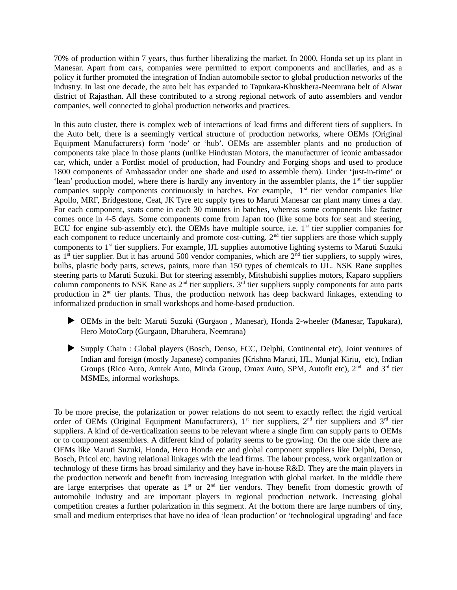70% of production within 7 years, thus further liberalizing the market. In 2000, Honda set up its plant in Manesar. Apart from cars, companies were permitted to export components and ancillaries, and as a policy it further promoted the integration of Indian automobile sector to global production networks of the industry. In last one decade, the auto belt has expanded to Tapukara-Khuskhera-Neemrana belt of Alwar district of Rajasthan. All these contributed to a strong regional network of auto assemblers and vendor companies, well connected to global production networks and practices.

In this auto cluster, there is complex web of interactions of lead firms and different tiers of suppliers. In the Auto belt, there is a seemingly vertical structure of production networks, where OEMs (Original Equipment Manufacturers) form 'node' or 'hub'. OEMs are assembler plants and no production of components take place in those plants (unlike Hindustan Motors, the manufacturer of iconic ambassador car, which, under a Fordist model of production, had Foundry and Forging shops and used to produce 1800 components of Ambassador under one shade and used to assemble them). Under 'just-in-time' or 'lean' production model, where there is hardly any inventory in the assembler plants, the  $1<sup>st</sup>$  tier supplier companies supply components continuously in batches. For example,  $1<sup>st</sup>$  tier vendor companies like Apollo, MRF, Bridgestone, Ceat, JK Tyre etc supply tyres to Maruti Manesar car plant many times a day. For each component, seats come in each 30 minutes in batches, whereas some components like fastner comes once in 4-5 days. Some components come from Japan too (like some bots for seat and steering, ECU for engine sub-assembly etc). the OEMs have multiple source, i.e.  $1<sup>st</sup>$  tier supplier companies for each component to reduce uncertainly and promote cost-cutting.  $2<sup>nd</sup>$  tier suppliers are those which supply components to 1<sup>st</sup> tier suppliers. For example, IJL supplies automotive lighting systems to Maruti Suzuki as  $1<sup>st</sup>$  tier supplier. But it has around 500 vendor companies, which are  $2<sup>nd</sup>$  tier suppliers, to supply wires, bulbs, plastic body parts, screws, paints, more than 150 types of chemicals to IJL. NSK Rane supplies steering parts to Maruti Suzuki. But for steering assembly, Mitshubishi supplies motors, Kaparo suppliers column components to NSK Rane as  $2<sup>nd</sup>$  tier suppliers.  $3<sup>rd</sup>$  tier suppliers supply components for auto parts production in  $2<sup>nd</sup>$  tier plants. Thus, the production network has deep backward linkages, extending to informalized production in small workshops and home-based production.

- OEMs in the belt: Maruti Suzuki (Gurgaon , Manesar), Honda 2-wheeler (Manesar, Tapukara), Hero MotoCorp (Gurgaon, Dharuhera, Neemrana)
- Supply Chain : Global players (Bosch, Denso, FCC, Delphi, Continental etc), Joint ventures of Indian and foreign (mostly Japanese) companies (Krishna Maruti, IJL, Munjal Kiriu, etc), Indian Groups (Rico Auto, Amtek Auto, Minda Group, Omax Auto, SPM, Autofit etc),  $2^{nd}$  and  $3^{rd}$  tier MSMEs, informal workshops.

To be more precise, the polarization or power relations do not seem to exactly reflect the rigid vertical order of OEMs (Original Equipment Manufacturers),  $1^{st}$  tier suppliers,  $2^{nd}$  tier suppliers and  $3^{rd}$  tier suppliers. A kind of de-verticalization seems to be relevant where a single firm can supply parts to OEMs or to component assemblers. A different kind of polarity seems to be growing. On the one side there are OEMs like Maruti Suzuki, Honda, Hero Honda etc and global component suppliers like Delphi, Denso, Bosch, Pricol etc. having relational linkages with the lead firms. The labour process, work organization or technology of these firms has broad similarity and they have in-house R&D. They are the main players in the production network and benefit from increasing integration with global market. In the middle there are large enterprises that operate as  $1^{st}$  or  $2^{nd}$  tier vendors. They benefit from domestic growth of automobile industry and are important players in regional production network. Increasing global competition creates a further polarization in this segment. At the bottom there are large numbers of tiny, small and medium enterprises that have no idea of 'lean production' or 'technological upgrading' and face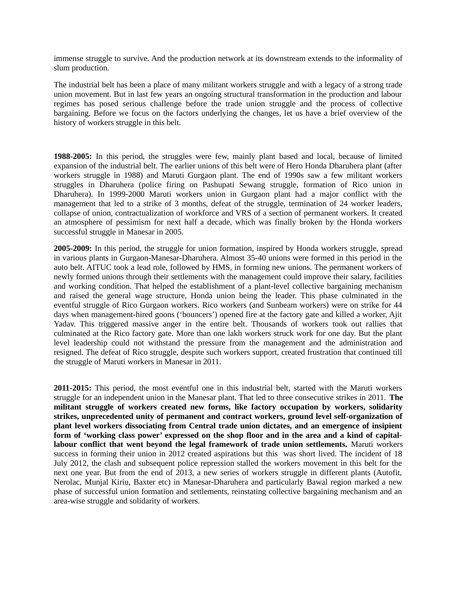immense struggle to survive. And the production network at its downstream extends to the informality of slum production.

The industrial belt has been a place of many militant workers struggle and with a legacy of a strong trade union movement. But in last few years an ongoing structural transformation in the production and labour regimes has posed serious challenge before the trade union struggle and the process of collective bargaining. Before we focus on the factors underlying the changes, let us have a brief overview of the history of workers struggle in this belt.

**1988-2005:** In this period, the struggles were few, mainly plant based and local, because of limited expansion of the industrial belt. The earlier unions of this belt were of Hero Honda Dharuhera plant (after workers struggle in 1988) and Maruti Gurgaon plant. The end of 1990s saw a few militant workers struggles in Dharuhera (police firing on Pashupati Sewang struggle, formation of Rico union in Dharuhera). In 1999-2000 Maruti workers union in Gurgaon plant had a major conflict with the management that led to a strike of 3 months, defeat of the struggle, termination of 24 worker leaders, collapse of union, contractualization of workforce and VRS of a section of permanent workers. It created an atmosphere of pessimism for next half a decade, which was finally broken by the Honda workers successful struggle in Manesar in 2005.

**2005-2009:** In this period, the struggle for union formation, inspired by Honda workers struggle, spread in various plants in Gurgaon-Manesar-Dharuhera. Almost 35-40 unions were formed in this period in the auto belt. AITUC took a lead role, followed by HMS, in forming new unions. The permanent workers of newly formed unions through their settlements with the management could improve their salary, facilities and working condition. That helped the establishment of a plant-level collective bargaining mechanism and raised the general wage structure, Honda union being the leader. This phase culminated in the eventful struggle of Rico Gurgaon workers. Rico workers (and Sunbeam workers) were on strike for 44 days when management-hired goons ('bouncers') opened fire at the factory gate and killed a worker, Ajit Yadav. This triggered massive anger in the entire belt. Thousands of workers took out rallies that culminated at the Rico factory gate. More than one lakh workers struck work for one day. But the plant level leadership could not withstand the pressure from the management and the administration and resigned. The defeat of Rico struggle, despite such workers support, created frustration that continued till the struggle of Maruti workers in Manesar in 2011.

**2011-2015:** This period, the most eventful one in this industrial belt, started with the Maruti workers struggle for an independent union in the Manesar plant. That led to three consecutive strikes in 2011. **The militant struggle of workers created new forms, like factory occupation by workers, solidarity strikes, unprecedented unity of permanent and contract workers, ground level self-organization of plant level workers dissociating from Central trade union dictates, and an emergence of insipient form of 'working class power' expressed on the shop floor and in the area and a kind of capitallabour conflict that went beyond the legal framework of trade union settlements.** Maruti workers success in forming their union in 2012 created aspirations but this was short lived. The incident of 18 July 2012, the clash and subsequent police repression stalled the workers movement in this belt for the next one year. But from the end of 2013, a new series of workers struggle in different plants (Autofit, Nerolac, Munjal Kiriu, Baxter etc) in Manesar-Dharuhera and particularly Bawal region marked a new phase of successful union formation and settlements, reinstating collective bargaining mechanism and an area-wise struggle and solidarity of workers.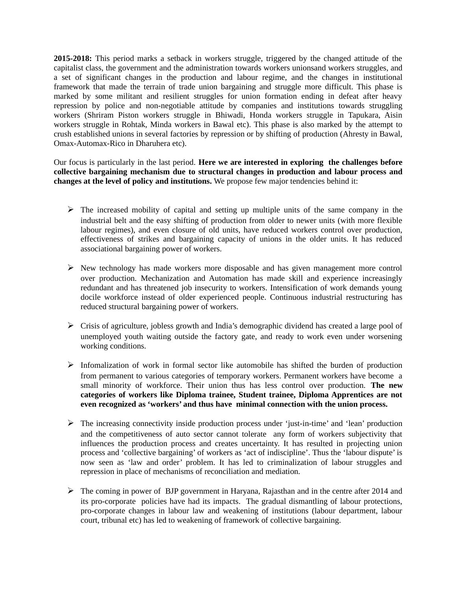**2015-2018:** This period marks a setback in workers struggle, triggered by the changed attitude of the capitalist class, the government and the administration towards workers unionsand workers struggles, and a set of significant changes in the production and labour regime, and the changes in institutional framework that made the terrain of trade union bargaining and struggle more difficult. This phase is marked by some militant and resilient struggles for union formation ending in defeat after heavy repression by police and non-negotiable attitude by companies and institutions towards struggling workers (Shriram Piston workers struggle in Bhiwadi, Honda workers struggle in Tapukara, Aisin workers struggle in Rohtak, Minda workers in Bawal etc). This phase is also marked by the attempt to crush established unions in several factories by repression or by shifting of production (Ahresty in Bawal, Omax-Automax-Rico in Dharuhera etc).

Our focus is particularly in the last period. **Here we are interested in exploring the challenges before collective bargaining mechanism due to structural changes in production and labour process and changes at the level of policy and institutions.** We propose few major tendencies behind it:

- $\triangleright$  The increased mobility of capital and setting up multiple units of the same company in the industrial belt and the easy shifting of production from older to newer units (with more flexible labour regimes), and even closure of old units, have reduced workers control over production, effectiveness of strikes and bargaining capacity of unions in the older units. It has reduced associational bargaining power of workers.
- $\triangleright$  New technology has made workers more disposable and has given management more control over production. Mechanization and Automation has made skill and experience increasingly redundant and has threatened job insecurity to workers. Intensification of work demands young docile workforce instead of older experienced people. Continuous industrial restructuring has reduced structural bargaining power of workers.
- $\triangleright$  Crisis of agriculture, jobless growth and India's demographic dividend has created a large pool of unemployed youth waiting outside the factory gate, and ready to work even under worsening working conditions.
- $\triangleright$  Infomalization of work in formal sector like automobile has shifted the burden of production from permanent to various categories of temporary workers. Permanent workers have become a small minority of workforce. Their union thus has less control over production. **The new categories of workers like Diploma trainee, Student trainee, Diploma Apprentices are not even recognized as 'workers' and thus have minimal connection with the union process.**
- The increasing connectivity inside production process under 'just-in-time' and 'lean' production and the competitiveness of auto sector cannot tolerate any form of workers subjectivity that influences the production process and creates uncertainty. It has resulted in projecting union process and 'collective bargaining' of workers as 'act of indiscipline'. Thus the 'labour dispute' is now seen as 'law and order' problem. It has led to criminalization of labour struggles and repression in place of mechanisms of reconciliation and mediation.
- $\triangleright$  The coming in power of BJP government in Haryana, Rajasthan and in the centre after 2014 and its pro-corporate policies have had its impacts. The gradual dismantling of labour protections, pro-corporate changes in labour law and weakening of institutions (labour department, labour court, tribunal etc) has led to weakening of framework of collective bargaining.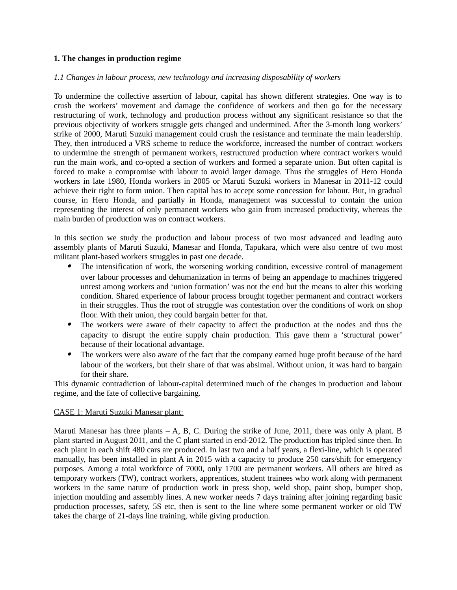# **1. The changes in production regime**

# *1.1 Changes in labour process, new technology and increasing disposability of workers*

To undermine the collective assertion of labour, capital has shown different strategies. One way is to crush the workers' movement and damage the confidence of workers and then go for the necessary restructuring of work, technology and production process without any significant resistance so that the previous objectivity of workers struggle gets changed and undermined. After the 3-month long workers' strike of 2000, Maruti Suzuki management could crush the resistance and terminate the main leadership. They, then introduced a VRS scheme to reduce the workforce, increased the number of contract workers to undermine the strength of permanent workers, restructured production where contract workers would run the main work, and co-opted a section of workers and formed a separate union. But often capital is forced to make a compromise with labour to avoid larger damage. Thus the struggles of Hero Honda workers in late 1980, Honda workers in 2005 or Maruti Suzuki workers in Manesar in 2011-12 could achieve their right to form union. Then capital has to accept some concession for labour. But, in gradual course, in Hero Honda, and partially in Honda, management was successful to contain the union representing the interest of only permanent workers who gain from increased productivity, whereas the main burden of production was on contract workers.

In this section we study the production and labour process of two most advanced and leading auto assembly plants of Maruti Suzuki, Manesar and Honda, Tapukara, which were also centre of two most militant plant-based workers struggles in past one decade.

- . The intensification of work, the worsening working condition, excessive control of management over labour processes and dehumanization in terms of being an appendage to machines triggered unrest among workers and 'union formation' was not the end but the means to alter this working condition. Shared experience of labour process brought together permanent and contract workers in their struggles. Thus the root of struggle was contestation over the conditions of work on shop floor. With their union, they could bargain better for that.
- The workers were aware of their capacity to affect the production at the nodes and thus the capacity to disrupt the entire supply chain production. This gave them a 'structural power' because of their locational advantage.
- . The workers were also aware of the fact that the company earned huge profit because of the hard labour of the workers, but their share of that was absimal. Without union, it was hard to bargain for their share.

This dynamic contradiction of labour-capital determined much of the changes in production and labour regime, and the fate of collective bargaining.

#### CASE 1: Maruti Suzuki Manesar plant:

Maruti Manesar has three plants – A, B, C. During the strike of June, 2011, there was only A plant. B plant started in August 2011, and the C plant started in end-2012. The production has tripled since then. In each plant in each shift 480 cars are produced. In last two and a half years, a flexi-line, which is operated manually, has been installed in plant A in 2015 with a capacity to produce 250 cars/shift for emergency purposes. Among a total workforce of 7000, only 1700 are permanent workers. All others are hired as temporary workers (TW), contract workers, apprentices, student trainees who work along with permanent workers in the same nature of production work in press shop, weld shop, paint shop, bumper shop, injection moulding and assembly lines. A new worker needs 7 days training after joining regarding basic production processes, safety, 5S etc, then is sent to the line where some permanent worker or old TW takes the charge of 21-days line training, while giving production.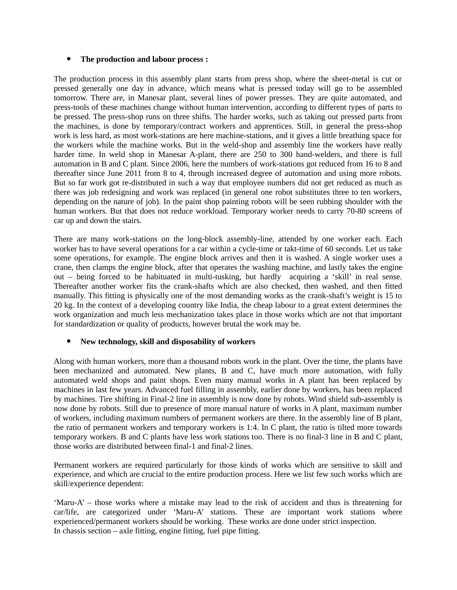# **The production and labour process :**

The production process in this assembly plant starts from press shop, where the sheet-metal is cut or pressed generally one day in advance, which means what is pressed today will go to be assembled tomorrow. There are, in Manesar plant, several lines of power presses. They are quite automated, and press-tools of these machines change without human intervention, according to different types of parts to be pressed. The press-shop runs on three shifts. The harder works, such as taking out pressed parts from the machines, is done by temporary/contract workers and apprentices. Still, in general the press-shop work is less hard, as most work-stations are here machine-stations, and it gives a little breathing space for the workers while the machine works. But in the weld-shop and assembly line the workers have really harder time. In weld shop in Manesar A-plant, there are 250 to 300 hand-welders, and there is full automation in B and C plant. Since 2006, here the numbers of work-stations got reduced from 16 to 8 and thereafter since June 2011 from 8 to 4, through increased degree of automation and using more robots. But so far work got re-distributed in such a way that employee numbers did not get reduced as much as there was job redesigning and work was replaced (in general one robot substitutes three to ten workers, depending on the nature of job). In the paint shop painting robots will be seen rubbing shoulder with the human workers. But that does not reduce workload. Temporary worker needs to carry 70-80 screens of car up and down the stairs.

There are many work-stations on the long-block assembly-line, attended by one worker each. Each worker has to have several operations for a car within a cycle-time or takt-time of 60 seconds. Let us take some operations, for example. The engine block arrives and then it is washed. A single worker uses a crane, then clamps the engine block, after that operates the washing machine, and lastly takes the engine out – being forced to be habituated in multi-tusking, but hardly acquiring a 'skill' in real sense. Thereafter another worker fits the crank-shafts which are also checked, then washed, and then fitted manually. This fitting is physically one of the most demanding works as the crank-shaft's weight is 15 to 20 kg. In the context of a developing country like India, the cheap labour to a great extent determines the work organization and much less mechanization takes place in those works which are not that important for standardization or quality of products, however brutal the work may be.

# **New technology, skill and disposability of workers**

Along with human workers, more than a thousand robots work in the plant. Over the time, the plants have been mechanized and automated. New plants, B and C, have much more automation, with fully automated weld shops and paint shops. Even many manual works in A plant has been replaced by machines in last few years. Advanced fuel filling in assembly, earlier done by workers, has been replaced by machines. Tire shifting in Final-2 line in assembly is now done by robots. Wind shield sub-assembly is now done by robots. Still due to presence of more manual nature of works in A plant, maximum number of workers, including maximum numbers of permanent workers are there. In the assembly line of B plant, the ratio of permanent workers and temporary workers is 1:4. In C plant, the ratio is tilted more towards temporary workers. B and C plants have less work stations too. There is no final-3 line in B and C plant, those works are distributed between final-1 and final-2 lines.

Permanent workers are required particularly for those kinds of works which are sensitive to skill and experience, and which are crucial to the entire production process. Here we list few such works which are skill/experience dependent:

'Maru-A' – those works where a mistake may lead to the risk of accident and thus is threatening for car/life, are categorized under 'Maru-A' stations. These are important work stations where experienced/permanent workers should be working. These works are done under strict inspection. In chassis section – axle fitting, engine fitting, fuel pipe fitting.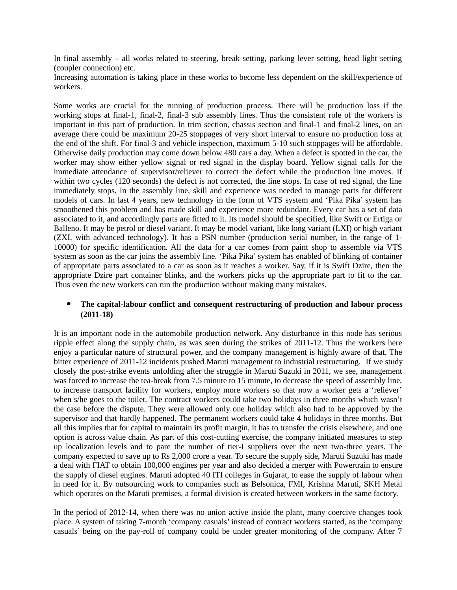In final assembly – all works related to steering, break setting, parking lever setting, head light setting (coupler connection) etc.

Increasing automation is taking place in these works to become less dependent on the skill/experience of workers.

Some works are crucial for the running of production process. There will be production loss if the working stops at final-1, final-2, final-3 sub assembly lines. Thus the consistent role of the workers is important in this part of production. In trim section, chassis section and final-1 and final-2 lines, on an average there could be maximum 20-25 stoppages of very short interval to ensure no production loss at the end of the shift. For final-3 and vehicle inspection, maximum 5-10 such stoppages will be affordable. Otherwise daily production may come down below 480 cars a day. When a defect is spotted in the car, the worker may show either yellow signal or red signal in the display board. Yellow signal calls for the immediate attendance of supervisor/reliever to correct the defect while the production line moves. If within two cycles (120 seconds) the defect is not corrected, the line stops. In case of red signal, the line immediately stops. In the assembly line, skill and experience was needed to manage parts for different models of cars. In last 4 years, new technology in the form of VTS system and 'Pika Pika' system has smoothened this problem and has made skill and experience more redundant. Every car has a set of data associated to it, and accordingly parts are fitted to it. Its model should be specified, like Swift or Ertiga or Balleno. It may be petrol or diesel variant. It may be model variant, like long variant (LXI) or high variant (ZXI, with advanced technology). It has a PSN number (production serial number, in the range of 1- 10000) for specific identification. All the data for a car comes from paint shop to assemble via VTS system as soon as the car joins the assembly line. 'Pika Pika' system has enabled of blinking of container of appropriate parts associated to a car as soon as it reaches a worker. Say, if it is Swift Dzire, then the appropriate Dzire part container blinks, and the workers picks up the appropriate part to fit to the car. Thus even the new workers can run the production without making many mistakes.

# **The capital-labour conflict and consequent restructuring of production and labour process (2011-18)**

It is an important node in the automobile production network. Any disturbance in this node has serious ripple effect along the supply chain, as was seen during the strikes of 2011-12. Thus the workers here enjoy a particular nature of structural power, and the company management is highly aware of that. The bitter experience of 2011-12 incidents pushed Maruti management to industrial restructuring. If we study closely the post-strike events unfolding after the struggle in Maruti Suzuki in 2011, we see, management was forced to increase the tea-break from 7.5 minute to 15 minute, to decrease the speed of assembly line, to increase transport facility for workers, employ more workers so that now a worker gets a 'reliever' when s/he goes to the toilet. The contract workers could take two holidays in three months which wasn't the case before the dispute. They were allowed only one holiday which also had to be approved by the supervisor and that hardly happened. The permanent workers could take 4 holidays in three months. But all this implies that for capital to maintain its profit margin, it has to transfer the crisis elsewhere, and one option is across value chain. As part of this cost-cutting exercise, the company initiated measures to step up localization levels and to pare the number of tier-I suppliers over the next two-three years. The company expected to save up to Rs 2,000 crore a year. To secure the supply side, Maruti Suzuki has made a deal with FIAT to obtain 100,000 engines per year and also decided a merger with Powertrain to ensure the supply of diesel engines. Maruti adopted 40 ITI colleges in Gujarat, to ease the supply of labour when in need for it. By outsourcing work to companies such as Belsonica, FMI, Krishna Maruti, SKH Metal which operates on the Maruti premises, a formal division is created between workers in the same factory.

In the period of 2012-14, when there was no union active inside the plant, many coercive changes took place. A system of taking 7-month 'company casuals' instead of contract workers started, as the 'company casuals' being on the pay-roll of company could be under greater monitoring of the company. After 7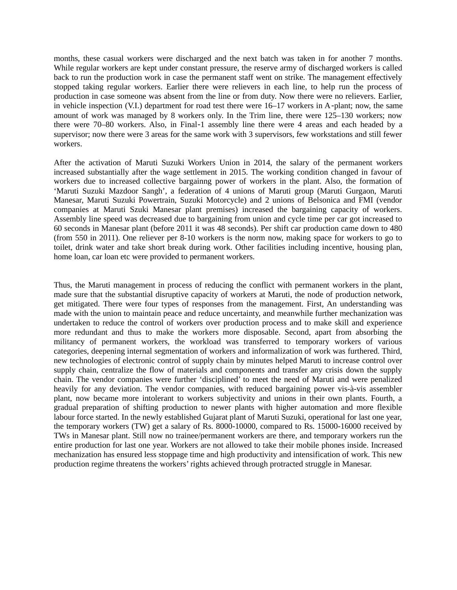months, these casual workers were discharged and the next batch was taken in for another 7 months. While regular workers are kept under constant pressure, the reserve army of discharged workers is called back to run the production work in case the permanent staff went on strike. The management effectively stopped taking regular workers. Earlier there were relievers in each line, to help run the process of production in case someone was absent from the line or from duty. Now there were no relievers. Earlier, in vehicle inspection (V.I.) department for road test there were 16–17 workers in A‐plant; now, the same amount of work was managed by 8 workers only. In the Trim line, there were 125–130 workers; now there were 70–80 workers. Also, in Final‐1 assembly line there were 4 areas and each headed by a supervisor; now there were 3 areas for the same work with 3 supervisors, few workstations and still fewer workers.

After the activation of Maruti Suzuki Workers Union in 2014, the salary of the permanent workers increased substantially after the wage settlement in 2015. The working condition changed in favour of workers due to increased collective bargainng power of workers in the plant. Also, the formation of 'Maruti Suzuki Mazdoor Sangh', a federation of 4 unions of Maruti group (Maruti Gurgaon, Maruti Manesar, Maruti Suzuki Powertrain, Suzuki Motorcycle) and 2 unions of Belsonica and FMI (vendor companies at Maruti Szuki Manesar plant premises) increased the bargaining capacity of workers. Assembly line speed was decreased due to bargaining from union and cycle time per car got increased to 60 seconds in Manesar plant (before 2011 it was 48 seconds). Per shift car production came down to 480 (from 550 in 2011). One reliever per 8-10 workers is the norm now, making space for workers to go to toilet, drink water and take short break during work. Other facilities including incentive, housing plan, home loan, car loan etc were provided to permanent workers.

Thus, the Maruti management in process of reducing the conflict with permanent workers in the plant, made sure that the substantial disruptive capacity of workers at Maruti, the node of production network, get mitigated. There were four types of responses from the management. First, An understanding was made with the union to maintain peace and reduce uncertainty, and meanwhile further mechanization was undertaken to reduce the control of workers over production process and to make skill and experience more redundant and thus to make the workers more disposable. Second, apart from absorbing the militancy of permanent workers, the workload was transferred to temporary workers of various categories, deepening internal segmentation of workers and informalization of work was furthered. Third, new technologies of electronic control of supply chain by minutes helped Maruti to increase control over supply chain, centralize the flow of materials and components and transfer any crisis down the supply chain. The vendor companies were further 'disciplined' to meet the need of Maruti and were penalized heavily for any deviation. The vendor companies, with reduced bargaining power vis-à-vis assembler plant, now became more intolerant to workers subjectivity and unions in their own plants. Fourth, a gradual preparation of shifting production to newer plants with higher automation and more flexible labour force started. In the newly established Gujarat plant of Maruti Suzuki, operational for last one year, the temporary workers (TW) get a salary of Rs. 8000-10000, compared to Rs. 15000-16000 received by TWs in Manesar plant. Still now no trainee/permanent workers are there, and temporary workers run the entire production for last one year. Workers are not allowed to take their mobile phones inside. Increased mechanization has ensured less stoppage time and high productivity and intensification of work. This new production regime threatens the workers' rights achieved through protracted struggle in Manesar.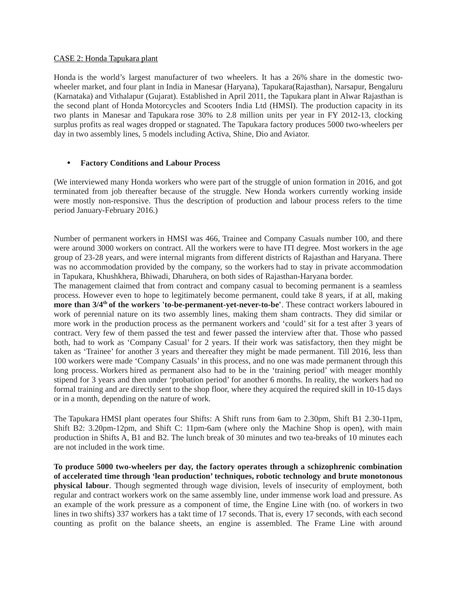# CASE 2: Honda Tapukara plant

Honda is the world's largest manufacturer of two wheelers. It has a 26% share in the domestic twowheeler market, and four plant in India in Manesar (Haryana), Tapukara(Rajasthan), Narsapur, Bengaluru (Karnataka) and Vithalapur (Gujarat). Established in April 2011, the Tapukara plant in Alwar Rajasthan is the second plant of Honda Motorcycles and Scooters India Ltd (HMSI). The production capacity in its two plants in Manesar and Tapukara rose 30% to 2.8 million units per year in FY 2012-13, clocking surplus profits as real wages dropped or stagnated. The Tapukara factory produces 5000 two-wheelers per day in two assembly lines, 5 models including Activa, Shine, Dio and Aviator.

# **• Factory Conditions and Labour Process**

(We interviewed many Honda workers who were part of the struggle of union formation in 2016, and got terminated from job thereafter because of the struggle. New Honda workers currently working inside were mostly non-responsive. Thus the description of production and labour process refers to the time period January-February 2016.)

Number of permanent workers in HMSI was 466, Trainee and Company Casuals number 100, and there were around 3000 workers on contract. All the workers were to have ITI degree. Most workers in the age group of 23-28 years, and were internal migrants from different districts of Rajasthan and Haryana. There was no accommodation provided by the company, so the workers had to stay in private accommodation in Tapukara, Khushkhera, Bhiwadi, Dharuhera, on both sides of Rajasthan-Haryana border.

The management claimed that from contract and company casual to becoming permanent is a seamless process. However even to hope to legitimately become permanent, could take 8 years, if at all, making more than 3/4<sup>th</sup> of the workers 'to-be-permanent-yet-never-to-be'. These contract workers laboured in work of perennial nature on its two assembly lines, making them sham contracts. They did similar or more work in the production process as the permanent workers and 'could' sit for a test after 3 years of contract. Very few of them passed the test and fewer passed the interview after that. Those who passed both, had to work as 'Company Casual' for 2 years. If their work was satisfactory, then they might be taken as 'Trainee' for another 3 years and thereafter they might be made permanent. Till 2016, less than 100 workers were made 'Company Casuals' in this process, and no one was made permanent through this long process. Workers hired as permanent also had to be in the 'training period' with meager monthly stipend for 3 years and then under 'probation period' for another 6 months. In reality, the workers had no formal training and are directly sent to the shop floor, where they acquired the required skill in 10-15 days or in a month, depending on the nature of work.

The Tapukara HMSI plant operates four Shifts: A Shift runs from 6am to 2.30pm, Shift B1 2.30-11pm, Shift B2: 3.20pm-12pm, and Shift C: 11pm-6am (where only the Machine Shop is open), with main production in Shifts A, B1 and B2. The lunch break of 30 minutes and two tea-breaks of 10 minutes each are not included in the work time.

**To produce 5000 two-wheelers per day, the factory operates through a schizophrenic combination of accelerated time through 'lean production' techniques, robotic technology and brute monotonous physical labour**. Though segmented through wage division, levels of insecurity of employment, both regular and contract workers work on the same assembly line, under immense work load and pressure. As an example of the work pressure as a component of time, the Engine Line with (no. of workers in two lines in two shifts) 337 workers has a takt time of 17 seconds. That is, every 17 seconds, with each second counting as profit on the balance sheets, an engine is assembled. The Frame Line with around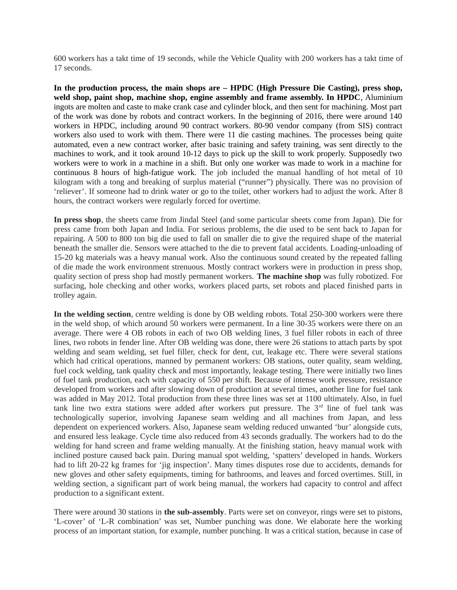600 workers has a takt time of 19 seconds, while the Vehicle Quality with 200 workers has a takt time of 17 seconds.

**In the production process, the main shops are – HPDC (High Pressure Die Casting), press shop, weld shop, paint shop, machine shop, engine assembly and frame assembly. In HPDC**, Aluminium ingots are molten and caste to make crank case and cylinder block, and then sent for machining. Most part of the work was done by robots and contract workers. In the beginning of 2016, there were around 140 workers in HPDC, including around 90 contract workers. 80-90 vendor company (from SIS) contract workers also used to work with them. There were 11 die casting machines. The processes being quite automated, even a new contract worker, after basic training and safety training, was sent directly to the machines to work, and it took around 10-12 days to pick up the skill to work properly. Supposedly two workers were to work in a machine in a shift. But only one worker was made to work in a machine for continuous 8 hours of high-fatigue work. The job included the manual handling of hot metal of 10 kilogram with a tong and breaking of surplus material ("runner") physically. There was no provision of 'reliever'. If someone had to drink water or go to the toilet, other workers had to adjust the work. After 8 hours, the contract workers were regularly forced for overtime.

**In press shop**, the sheets came from Jindal Steel (and some particular sheets come from Japan). Die for press came from both Japan and India. For serious problems, the die used to be sent back to Japan for repairing. A 500 to 800 ton big die used to fall on smaller die to give the required shape of the material beneath the smaller die. Sensors were attached to the die to prevent fatal accidents. Loading-unloading of 15-20 kg materials was a heavy manual work. Also the continuous sound created by the repeated falling of die made the work environment strenuous. Mostly contract workers were in production in press shop, quality section of press shop had mostly permanent workers. **The machine shop** was fully robotized. For surfacing, hole checking and other works, workers placed parts, set robots and placed finished parts in trolley again.

**In the welding section**, centre welding is done by OB welding robots. Total 250-300 workers were there in the weld shop, of which around 50 workers were permanent. In a line 30-35 workers were there on an average. There were 4 OB robots in each of two OB welding lines, 3 fuel filler robots in each of three lines, two robots in fender line. After OB welding was done, there were 26 stations to attach parts by spot welding and seam welding, set fuel filler, check for dent, cut, leakage etc. There were several stations which had critical operations, manned by permanent workers: OB stations, outer quality, seam welding, fuel cock welding, tank quality check and most importantly, leakage testing. There were initially two lines of fuel tank production, each with capacity of 550 per shift. Because of intense work pressure, resistance developed from workers and after slowing down of production at several times, another line for fuel tank was added in May 2012. Total production from these three lines was set at 1100 ultimately. Also, in fuel tank line two extra stations were added after workers put pressure. The  $3<sup>rd</sup>$  line of fuel tank was technologically superior, involving Japanese seam welding and all machines from Japan, and less dependent on experienced workers. Also, Japanese seam welding reduced unwanted 'bur' alongside cuts, and ensured less leakage. Cycle time also reduced from 43 seconds gradually. The workers had to do the welding for hand screen and frame welding manually. At the finishing station, heavy manual work with inclined posture caused back pain. During manual spot welding, 'spatters' developed in hands. Workers had to lift 20-22 kg frames for 'jig inspection'. Many times disputes rose due to accidents, demands for new gloves and other safety equipments, timing for bathrooms, and leaves and forced overtimes. Still, in welding section, a significant part of work being manual, the workers had capacity to control and affect production to a significant extent.

There were around 30 stations in **the sub-assembly**. Parts were set on conveyor, rings were set to pistons, 'L-cover' of 'L-R combination' was set, Number punching was done. We elaborate here the working process of an important station, for example, number punching. It was a critical station, because in case of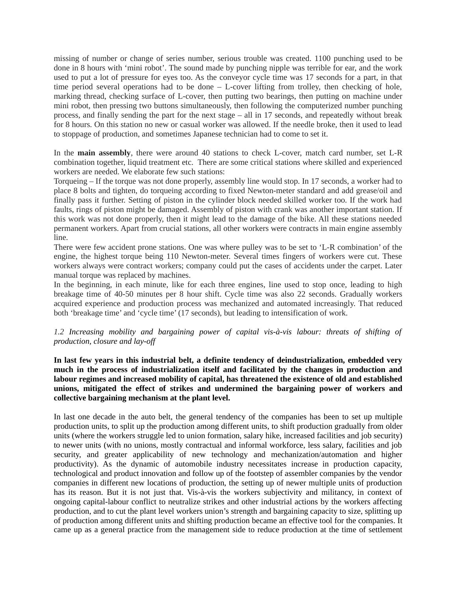missing of number or change of series number, serious trouble was created. 1100 punching used to be done in 8 hours with 'mini robot'. The sound made by punching nipple was terrible for ear, and the work used to put a lot of pressure for eyes too. As the conveyor cycle time was 17 seconds for a part, in that time period several operations had to be done – L-cover lifting from trolley, then checking of hole, marking thread, checking surface of L-cover, then putting two bearings, then putting on machine under mini robot, then pressing two buttons simultaneously, then following the computerized number punching process, and finally sending the part for the next stage – all in 17 seconds, and repeatedly without break for 8 hours. On this station no new or casual worker was allowed. If the needle broke, then it used to lead to stoppage of production, and sometimes Japanese technician had to come to set it.

In the **main assembly**, there were around 40 stations to check L-cover, match card number, set L-R combination together, liquid treatment etc. There are some critical stations where skilled and experienced workers are needed. We elaborate few such stations:

Torqueing – If the torque was not done properly, assembly line would stop. In 17 seconds, a worker had to place 8 bolts and tighten, do torqueing according to fixed Newton-meter standard and add grease/oil and finally pass it further. Setting of piston in the cylinder block needed skilled worker too. If the work had faults, rings of piston might be damaged. Assembly of piston with crank was another important station. If this work was not done properly, then it might lead to the damage of the bike. All these stations needed permanent workers. Apart from crucial stations, all other workers were contracts in main engine assembly line.

There were few accident prone stations. One was where pulley was to be set to 'L-R combination' of the engine, the highest torque being 110 Newton-meter. Several times fingers of workers were cut. These workers always were contract workers; company could put the cases of accidents under the carpet. Later manual torque was replaced by machines.

In the beginning, in each minute, like for each three engines, line used to stop once, leading to high breakage time of 40-50 minutes per 8 hour shift. Cycle time was also 22 seconds. Gradually workers acquired experience and production process was mechanized and automated increasingly. That reduced both 'breakage time' and 'cycle time' (17 seconds), but leading to intensification of work.

# *1.2 Increasing mobility and bargaining power of capital vis-à-vis labour: threats of shifting of production, closure and lay-off*

**In last few years in this industrial belt, a definite tendency of deindustrialization, embedded very much in the process of industrialization itself and facilitated by the changes in production and labour regimes and increased mobility of capital, has threatened the existence of old and established unions, mitigated the effect of strikes and undermined the bargaining power of workers and collective bargaining mechanism at the plant level.**

In last one decade in the auto belt, the general tendency of the companies has been to set up multiple production units, to split up the production among different units, to shift production gradually from older units (where the workers struggle led to union formation, salary hike, increased facilities and job security) to newer units (with no unions, mostly contractual and informal workforce, less salary, facilities and job security, and greater applicability of new technology and mechanization/automation and higher productivity). As the dynamic of automobile industry necessitates increase in production capacity, technological and product innovation and follow up of the footstep of assembler companies by the vendor companies in different new locations of production, the setting up of newer multiple units of production has its reason. But it is not just that. Vis-à-vis the workers subjectivity and militancy, in context of ongoing capital-labour conflict to neutralize strikes and other industrial actions by the workers affecting production, and to cut the plant level workers union's strength and bargaining capacity to size, splitting up of production among different units and shifting production became an effective tool for the companies. It came up as a general practice from the management side to reduce production at the time of settlement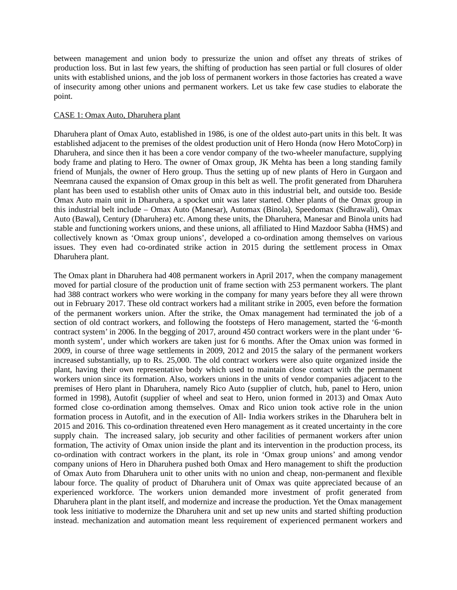between management and union body to pressurize the union and offset any threats of strikes of production loss. But in last few years, the shifting of production has seen partial or full closures of older units with established unions, and the job loss of permanent workers in those factories has created a wave of insecurity among other unions and permanent workers. Let us take few case studies to elaborate the point.

# CASE 1: Omax Auto, Dharuhera plant

Dharuhera plant of Omax Auto, established in 1986, is one of the oldest auto-part units in this belt. It was established adjacent to the premises of the oldest production unit of Hero Honda (now Hero MotoCorp) in Dharuhera, and since then it has been a core vendor company of the two-wheeler manufacture, supplying body frame and plating to Hero. The owner of Omax group, JK Mehta has been a long standing family friend of Munjals, the owner of Hero group. Thus the setting up of new plants of Hero in Gurgaon and Neemrana caused the expansion of Omax group in this belt as well. The profit generated from Dharuhera plant has been used to establish other units of Omax auto in this industrial belt, and outside too. Beside Omax Auto main unit in Dharuhera, a spocket unit was later started. Other plants of the Omax group in this industrial belt include – Omax Auto (Manesar), Automax (Binola), Speedomax (Sidhrawali), Omax Auto (Bawal), Century (Dharuhera) etc. Among these units, the Dharuhera, Manesar and Binola units had stable and functioning workers unions, and these unions, all affiliated to Hind Mazdoor Sabha (HMS) and collectively known as 'Omax group unions', developed a co-ordination among themselves on various issues. They even had co-ordinated strike action in 2015 during the settlement process in Omax Dharuhera plant.

The Omax plant in Dharuhera had 408 permanent workers in April 2017, when the company management moved for partial closure of the production unit of frame section with 253 permanent workers. The plant had 388 contract workers who were working in the company for many years before they all were thrown out in February 2017. These old contract workers had a militant strike in 2005, even before the formation of the permanent workers union. After the strike, the Omax management had terminated the job of a section of old contract workers, and following the footsteps of Hero management, started the '6-month contract system' in 2006. In the begging of 2017, around 450 contract workers were in the plant under '6 month system', under which workers are taken just for 6 months. After the Omax union was formed in 2009, in course of three wage settlements in 2009, 2012 and 2015 the salary of the permanent workers increased substantially, up to Rs. 25,000. The old contract workers were also quite organized inside the plant, having their own representative body which used to maintain close contact with the permanent workers union since its formation. Also, workers unions in the units of vendor companies adjacent to the premises of Hero plant in Dharuhera, namely Rico Auto (supplier of clutch, hub, panel to Hero, union formed in 1998), Autofit (supplier of wheel and seat to Hero, union formed in 2013) and Omax Auto formed close co-ordination among themselves. Omax and Rico union took active role in the union formation process in Autofit, and in the execution of All- India workers strikes in the Dharuhera belt in 2015 and 2016. This co-ordination threatened even Hero management as it created uncertainty in the core supply chain. The increased salary, job security and other facilities of permanent workers after union formation, The activity of Omax union inside the plant and its intervention in the production process, its co-ordination with contract workers in the plant, its role in 'Omax group unions' and among vendor company unions of Hero in Dharuhera pushed both Omax and Hero management to shift the production of Omax Auto from Dharuhera unit to other units with no union and cheap, non-permanent and flexible labour force. The quality of product of Dharuhera unit of Omax was quite appreciated because of an experienced workforce. The workers union demanded more investment of profit generated from Dharuhera plant in the plant itself, and modernize and increase the production. Yet the Omax management took less initiative to modernize the Dharuhera unit and set up new units and started shifting production instead. mechanization and automation meant less requirement of experienced permanent workers and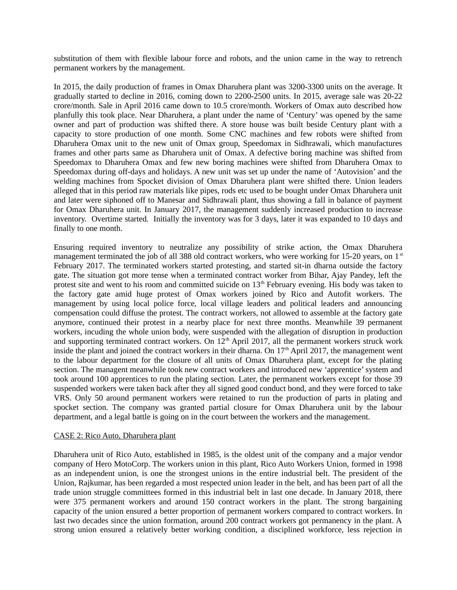substitution of them with flexible labour force and robots, and the union came in the way to retrench permanent workers by the management.

In 2015, the daily production of frames in Omax Dharuhera plant was 3200-3300 units on the average. It gradually started to decline in 2016, coming down to 2200-2500 units. In 2015, average sale was 20-22 crore/month. Sale in April 2016 came down to 10.5 crore/month. Workers of Omax auto described how planfully this took place. Near Dharuhera, a plant under the name of 'Century' was opened by the same owner and part of production was shifted there. A store house was built beside Century plant with a capacity to store production of one month. Some CNC machines and few robots were shifted from Dharuhera Omax unit to the new unit of Omax group, Speedomax in Sidhrawali, which manufactures frames and other parts same as Dharuhera unit of Omax. A defective boring machine was shifted from Speedomax to Dharuhera Omax and few new boring machines were shifted from Dharuhera Omax to Speedomax during off-days and holidays. A new unit was set up under the name of 'Autovision' and the welding machines from Spocket division of Omax Dharuhera plant were shifted there. Union leaders alleged that in this period raw materials like pipes, rods etc used to be bought under Omax Dharuhera unit and later were siphoned off to Manesar and Sidhrawali plant, thus showing a fall in balance of payment for Omax Dharuhera unit. In January 2017, the management suddenly increased production to increase inventory. Overtime started. Initially the inventory was for 3 days, later it was expanded to 10 days and finally to one month.

Ensuring required inventory to neutralize any possibility of strike action, the Omax Dharuhera management terminated the job of all 388 old contract workers, who were working for 15-20 years, on  $1<sup>st</sup>$ February 2017. The terminated workers started protesting, and started sit-in dharna outside the factory gate. The situation got more tense when a terminated contract worker from Bihar, Ajay Pandey, left the protest site and went to his room and committed suicide on  $13<sup>th</sup>$  February evening. His body was taken to the factory gate amid huge protest of Omax workers joined by Rico and Autofit workers. The management by using local police force, local village leaders and political leaders and announcing compensation could diffuse the protest. The contract workers, not allowed to assemble at the factory gate anymore, continued their protest in a nearby place for next three months. Meanwhile 39 permanent workers, incuding the whole union body, were suspended with the allegation of disruption in production and supporting terminated contract workers. On  $12<sup>th</sup>$  April 2017, all the permanent workers struck work inside the plant and joined the contract workers in their dharna. On  $17<sup>th</sup>$  April 2017, the management went to the labour department for the closure of all units of Omax Dharuhera plant, except for the plating section. The managent meanwhile took new contract workers and introduced new 'apprentice' system and took around 100 apprentices to run the plating section. Later, the permanent workers except for those 39 suspended workers were taken back after they all signed good conduct bond, and they were forced to take VRS. Only 50 around permanent workers were retained to run the production of parts in plating and spocket section. The company was granted partial closure for Omax Dharuhera unit by the labour department, and a legal battle is going on in the court between the workers and the management.

#### CASE 2: Rico Auto, Dharuhera plant

Dharuhera unit of Rico Auto, established in 1985, is the oldest unit of the company and a major vendor company of Hero MotoCorp. The workers union in this plant, Rico Auto Workers Union, formed in 1998 as an independent union, is one the strongest unions in the entire industrial belt. The president of the Union, Rajkumar, has been regarded a most respected union leader in the belt, and has been part of all the trade union struggle committees formed in this industrial belt in last one decade. In January 2018, there were 375 permanent workers and around 150 contract workers in the plant. The strong bargaining capacity of the union ensured a better proportion of permanent workers compared to contract workers. In last two decades since the union formation, around 200 contract workers got permanency in the plant. A strong union ensured a relatively better working condition, a disciplined workforce, less rejection in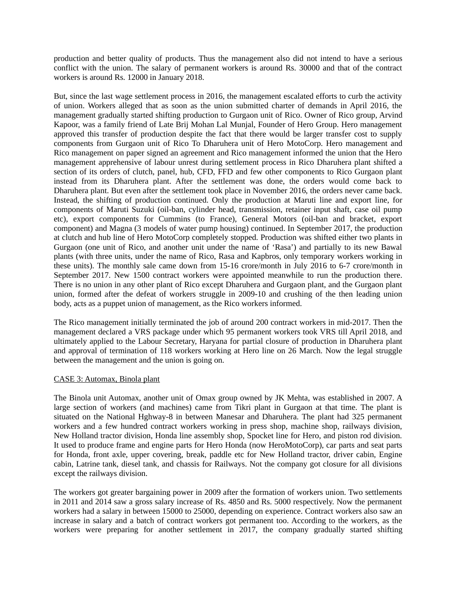production and better quality of products. Thus the management also did not intend to have a serious conflict with the union. The salary of permanent workers is around Rs. 30000 and that of the contract workers is around Rs. 12000 in January 2018.

But, since the last wage settlement process in 2016, the management escalated efforts to curb the activity of union. Workers alleged that as soon as the union submitted charter of demands in April 2016, the management gradually started shifting production to Gurgaon unit of Rico. Owner of Rico group, Arvind Kapoor, was a family friend of Late Brij Mohan Lal Munjal, Founder of Hero Group. Hero management approved this transfer of production despite the fact that there would be larger transfer cost to supply components from Gurgaon unit of Rico To Dharuhera unit of Hero MotoCorp. Hero management and Rico management on paper signed an agreement and Rico management informed the union that the Hero management apprehensive of labour unrest during settlement process in Rico Dharuhera plant shifted a section of its orders of clutch, panel, hub, CFD, FFD and few other components to Rico Gurgaon plant instead from its Dharuhera plant. After the settlement was done, the orders would come back to Dharuhera plant. But even after the settlement took place in November 2016, the orders never came back. Instead, the shifting of production continued. Only the production at Maruti line and export line, for components of Maruti Suzuki (oil-ban, cylinder head, transmission, retainer input shaft, case oil pump etc), export components for Cummins (to France), General Motors (oil-ban and bracket, export component) and Magna (3 models of water pump housing) continued. In September 2017, the production at clutch and hub line of Hero MotoCorp completely stopped. Production was shifted either two plants in Gurgaon (one unit of Rico, and another unit under the name of 'Rasa') and partially to its new Bawal plants (with three units, under the name of Rico, Rasa and Kapbros, only temporary workers working in these units). The monthly sale came down from 15-16 crore/month in July 2016 to 6-7 crore/month in September 2017. New 1500 contract workers were appointed meanwhile to run the production there. There is no union in any other plant of Rico except Dharuhera and Gurgaon plant, and the Gurgaon plant union, formed after the defeat of workers struggle in 2009-10 and crushing of the then leading union body, acts as a puppet union of management, as the Rico workers informed.

The Rico management initially terminated the job of around 200 contract workers in mid-2017. Then the management declared a VRS package under which 95 permanent workers took VRS till April 2018, and ultimately applied to the Labour Secretary, Haryana for partial closure of production in Dharuhera plant and approval of termination of 118 workers working at Hero line on 26 March. Now the legal struggle between the management and the union is going on.

# CASE 3: Automax, Binola plant

The Binola unit Automax, another unit of Omax group owned by JK Mehta, was established in 2007. A large section of workers (and machines) came from Tikri plant in Gurgaon at that time. The plant is situated on the National Hghway-8 in between Manesar and Dharuhera. The plant had 325 permanent workers and a few hundred contract workers working in press shop, machine shop, railways division, New Holland tractor division, Honda line assembly shop, Spocket line for Hero, and piston rod division. It used to produce frame and engine parts for Hero Honda (now HeroMotoCorp), car parts and seat parts for Honda, front axle, upper covering, break, paddle etc for New Holland tractor, driver cabin, Engine cabin, Latrine tank, diesel tank, and chassis for Railways. Not the company got closure for all divisions except the railways division.

The workers got greater bargaining power in 2009 after the formation of workers union. Two settlements in 2011 and 2014 saw a gross salary increase of Rs. 4850 and Rs. 5000 respectively. Now the permanent workers had a salary in between 15000 to 25000, depending on experience. Contract workers also saw an increase in salary and a batch of contract workers got permanent too. According to the workers, as the workers were preparing for another settlement in 2017, the company gradually started shifting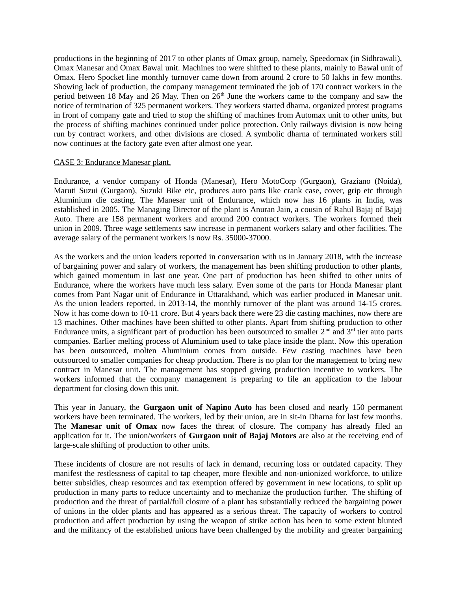productions in the beginning of 2017 to other plants of Omax group, namely, Speedomax (in Sidhrawali), Omax Manesar and Omax Bawal unit. Machines too were shitfted to these plants, mainly to Bawal unit of Omax. Hero Spocket line monthly turnover came down from around 2 crore to 50 lakhs in few months. Showing lack of production, the company management terminated the job of 170 contract workers in the period between 18 May and 26 May. Then on  $26<sup>th</sup>$  June the workers came to the company and saw the notice of termination of 325 permanent workers. They workers started dharna, organized protest programs in front of company gate and tried to stop the shifting of machines from Automax unit to other units, but the process of shifting machines continued under police protection. Only railways division is now being run by contract workers, and other divisions are closed. A symbolic dharna of terminated workers still now continues at the factory gate even after almost one year.

#### CASE 3: Endurance Manesar plant,

Endurance, a vendor company of Honda (Manesar), Hero MotoCorp (Gurgaon), Graziano (Noida), Maruti Suzui (Gurgaon), Suzuki Bike etc, produces auto parts like crank case, cover, grip etc through Aluminium die casting. The Manesar unit of Endurance, which now has 16 plants in India, was established in 2005. The Managing Director of the plant is Anuran Jain, a cousin of Rahul Bajaj of Bajaj Auto. There are 158 permanent workers and around 200 contract workers. The workers formed their union in 2009. Three wage settlements saw increase in permanent workers salary and other facilities. The average salary of the permanent workers is now Rs. 35000-37000.

As the workers and the union leaders reported in conversation with us in January 2018, with the increase of bargaining power and salary of workers, the management has been shifting production to other plants, which gained momentum in last one year. One part of production has been shifted to other units of Endurance, where the workers have much less salary. Even some of the parts for Honda Manesar plant comes from Pant Nagar unit of Endurance in Uttarakhand, which was earlier produced in Manesar unit. As the union leaders reported, in 2013-14, the monthly turnover of the plant was around 14-15 crores. Now it has come down to 10-11 crore. But 4 years back there were 23 die casting machines, now there are 13 machines. Other machines have been shifted to other plants. Apart from shifting production to other Endurance units, a significant part of production has been outsourced to smaller  $2^{nd}$  and  $3^{rd}$  tier auto parts companies. Earlier melting process of Aluminium used to take place inside the plant. Now this operation has been outsourced, molten Aluminium comes from outside. Few casting machines have been outsourced to smaller companies for cheap production. There is no plan for the management to bring new contract in Manesar unit. The management has stopped giving production incentive to workers. The workers informed that the company management is preparing to file an application to the labour department for closing down this unit.

This year in January, the **Gurgaon unit of Napino Auto** has been closed and nearly 150 permanent workers have been terminated. The workers, led by their union, are in sit-in Dharna for last few months. The **Manesar unit of Omax** now faces the threat of closure. The company has already filed an application for it. The union/workers of **Gurgaon unit of Bajaj Motors** are also at the receiving end of large-scale shifting of production to other units.

These incidents of closure are not results of lack in demand, recurring loss or outdated capacity. They manifest the restlessness of capital to tap cheaper, more flexible and non-unionized workforce, to utilize better subsidies, cheap resources and tax exemption offered by government in new locations, to split up production in many parts to reduce uncertainty and to mechanize the production further. The shifting of production and the threat of partial/full closure of a plant has substantially reduced the bargaining power of unions in the older plants and has appeared as a serious threat. The capacity of workers to control production and affect production by using the weapon of strike action has been to some extent blunted and the militancy of the established unions have been challenged by the mobility and greater bargaining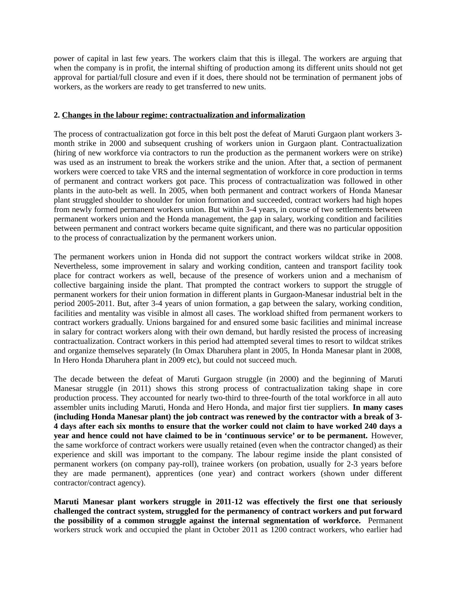power of capital in last few years. The workers claim that this is illegal. The workers are arguing that when the company is in profit, the internal shifting of production among its different units should not get approval for partial/full closure and even if it does, there should not be termination of permanent jobs of workers, as the workers are ready to get transferred to new units.

# **2. Changes in the labour regime: contractualization and informalization**

The process of contractualization got force in this belt post the defeat of Maruti Gurgaon plant workers 3 month strike in 2000 and subsequent crushing of workers union in Gurgaon plant. Contractualization (hiring of new workforce via contractors to run the production as the permanent workers were on strike) was used as an instrument to break the workers strike and the union. After that, a section of permanent workers were coerced to take VRS and the internal segmentation of workforce in core production in terms of permanent and contract workers got pace. This process of contractualization was followed in other plants in the auto-belt as well. In 2005, when both permanent and contract workers of Honda Manesar plant struggled shoulder to shoulder for union formation and succeeded, contract workers had high hopes from newly formed permanent workers union. But within 3-4 years, in course of two settlements between permanent workers union and the Honda management, the gap in salary, working condition and facilities between permanent and contract workers became quite significant, and there was no particular opposition to the process of conractualization by the permanent workers union.

The permanent workers union in Honda did not support the contract workers wildcat strike in 2008. Nevertheless, some improvement in salary and working condition, canteen and transport facility took place for contract workers as well, because of the presence of workers union and a mechanism of collective bargaining inside the plant. That prompted the contract workers to support the struggle of permanent workers for their union formation in different plants in Gurgaon-Manesar industrial belt in the period 2005-2011. But, after 3-4 years of union formation, a gap between the salary, working condition, facilities and mentality was visible in almost all cases. The workload shifted from permanent workers to contract workers gradually. Unions bargained for and ensured some basic facilities and minimal increase in salary for contract workers along with their own demand, but hardly resisted the process of increasing contractualization. Contract workers in this period had attempted several times to resort to wildcat strikes and organize themselves separately (In Omax Dharuhera plant in 2005, In Honda Manesar plant in 2008, In Hero Honda Dharuhera plant in 2009 etc), but could not succeed much.

The decade between the defeat of Maruti Gurgaon struggle (in 2000) and the beginning of Maruti Manesar struggle (in 2011) shows this strong process of contractualization taking shape in core production process. They accounted for nearly two-third to three-fourth of the total workforce in all auto assembler units including Maruti, Honda and Hero Honda, and major first tier suppliers. **In many cases (including Honda Manesar plant) the job contract was renewed by the contractor with a break of 3- 4 days after each six months to ensure that the worker could not claim to have worked 240 days a year and hence could not have claimed to be in 'continuous service' or to be permanent.** However, the same workforce of contract workers were usually retained (even when the contractor changed) as their experience and skill was important to the company. The labour regime inside the plant consisted of permanent workers (on company pay-roll), trainee workers (on probation, usually for 2-3 years before they are made permanent), apprentices (one year) and contract workers (shown under different contractor/contract agency).

**Maruti Manesar plant workers struggle in 2011-12 was effectively the first one that seriously challenged the contract system, struggled for the permanency of contract workers and put forward the possibility of a common struggle against the internal segmentation of workforce.** Permanent workers struck work and occupied the plant in October 2011 as 1200 contract workers, who earlier had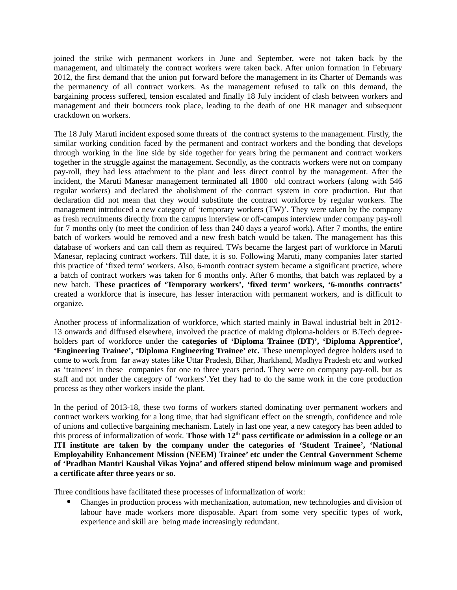joined the strike with permanent workers in June and September, were not taken back by the management, and ultimately the contract workers were taken back. After union formation in February 2012, the first demand that the union put forward before the management in its Charter of Demands was the permanency of all contract workers. As the management refused to talk on this demand, the bargaining process suffered, tension escalated and finally 18 July incident of clash between workers and management and their bouncers took place, leading to the death of one HR manager and subsequent crackdown on workers.

The 18 July Maruti incident exposed some threats of the contract systems to the management. Firstly, the similar working condition faced by the permanent and contract workers and the bonding that develops through working in the line side by side together for years bring the permanent and contract workers together in the struggle against the management. Secondly, as the contracts workers were not on company pay-roll, they had less attachment to the plant and less direct control by the management. After the incident, the Maruti Manesar management terminated all 1800 old contract workers (along with 546 regular workers) and declared the abolishment of the contract system in core production. But that declaration did not mean that they would substitute the contract workforce by regular workers. The management introduced a new category of 'temporary workers (TW)'. They were taken by the company as fresh recruitments directly from the campus interview or off-campus interview under company pay-roll for 7 months only (to meet the condition of less than 240 days a yearof work). After 7 months, the entire batch of workers would be removed and a new fresh batch would be taken. The management has this database of workers and can call them as required. TWs became the largest part of workforce in Maruti Manesar, replacing contract workers. Till date, it is so. Following Maruti, many companies later started this practice of 'fixed term' workers. Also, 6-month contract system became a significant practice, where a batch of contract workers was taken for 6 months only. After 6 months, that batch was replaced by a new batch. **These practices of 'Temporary workers', 'fixed term' workers, '6-months contracts'** created a workforce that is insecure, has lesser interaction with permanent workers, and is difficult to organize.

Another process of informalization of workforce, which started mainly in Bawal industrial belt in 2012- 13 onwards and diffused elsewhere, involved the practice of making diploma-holders or B.Tech degreeholders part of workforce under the **categories of 'Diploma Trainee (DT)', 'Diploma Apprentice', 'Engineering Trainee', 'Diploma Engineering Trainee' etc.** These unemployed degree holders used to come to work from far away states like Uttar Pradesh, Bihar, Jharkhand, Madhya Pradesh etc and worked as 'trainees' in these companies for one to three years period. They were on company pay-roll, but as staff and not under the category of 'workers'.Yet they had to do the same work in the core production process as they other workers inside the plant.

In the period of 2013-18, these two forms of workers started dominating over permanent workers and contract workers working for a long time, that had significant effect on the strength, confidence and role of unions and collective bargaining mechanism. Lately in last one year, a new category has been added to this process of informalization of work. Those with 12<sup>th</sup> pass certificate or admission in a college or an **ITI institute are taken by the company under the categories of 'Student Trainee', 'National Employability Enhancement Mission (NEEM) Trainee' etc under the Central Government Scheme of 'Pradhan Mantri Kaushal Vikas Yojna' and offered stipend below minimum wage and promised a certificate after three years or so.** 

Three conditions have facilitated these processes of informalization of work:

 Changes in production process with mechanization, automation, new technologies and division of labour have made workers more disposable. Apart from some very specific types of work, experience and skill are being made increasingly redundant.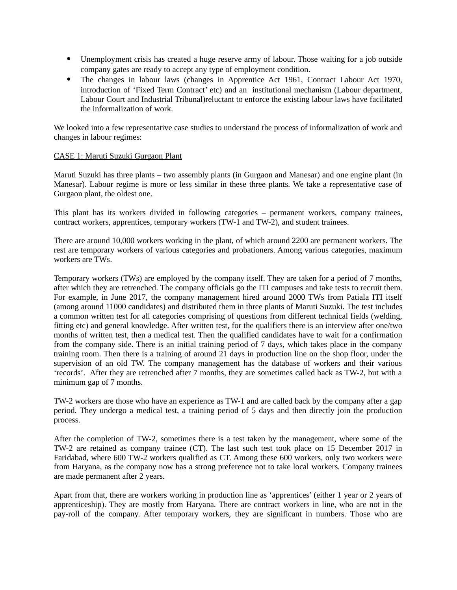- Unemployment crisis has created a huge reserve army of labour. Those waiting for a job outside company gates are ready to accept any type of employment condition.
- The changes in labour laws (changes in Apprentice Act 1961, Contract Labour Act 1970, introduction of 'Fixed Term Contract' etc) and an institutional mechanism (Labour department, Labour Court and Industrial Tribunal)reluctant to enforce the existing labour laws have facilitated the informalization of work.

We looked into a few representative case studies to understand the process of informalization of work and changes in labour regimes:

# CASE 1: Maruti Suzuki Gurgaon Plant

Maruti Suzuki has three plants – two assembly plants (in Gurgaon and Manesar) and one engine plant (in Manesar). Labour regime is more or less similar in these three plants. We take a representative case of Gurgaon plant, the oldest one.

This plant has its workers divided in following categories – permanent workers, company trainees, contract workers, apprentices, temporary workers (TW-1 and TW-2), and student trainees.

There are around 10,000 workers working in the plant, of which around 2200 are permanent workers. The rest are temporary workers of various categories and probationers. Among various categories, maximum workers are TWs.

Temporary workers (TWs) are employed by the company itself. They are taken for a period of 7 months, after which they are retrenched. The company officials go the ITI campuses and take tests to recruit them. For example, in June 2017, the company management hired around 2000 TWs from Patiala ITI itself (among around 11000 candidates) and distributed them in three plants of Maruti Suzuki. The test includes a common written test for all categories comprising of questions from different technical fields (welding, fitting etc) and general knowledge. After written test, for the qualifiers there is an interview after one/two months of written test, then a medical test. Then the qualified candidates have to wait for a confirmation from the company side. There is an initial training period of 7 days, which takes place in the company training room. Then there is a training of around 21 days in production line on the shop floor, under the supervision of an old TW. The company management has the database of workers and their various 'records'. After they are retrenched after 7 months, they are sometimes called back as TW-2, but with a minimum gap of 7 months.

TW-2 workers are those who have an experience as TW-1 and are called back by the company after a gap period. They undergo a medical test, a training period of 5 days and then directly join the production process.

After the completion of TW-2, sometimes there is a test taken by the management, where some of the TW-2 are retained as company trainee (CT). The last such test took place on 15 December 2017 in Faridabad, where 600 TW-2 workers qualified as CT. Among these 600 workers, only two workers were from Haryana, as the company now has a strong preference not to take local workers. Company trainees are made permanent after 2 years.

Apart from that, there are workers working in production line as 'apprentices' (either 1 year or 2 years of apprenticeship). They are mostly from Haryana. There are contract workers in line, who are not in the pay-roll of the company. After temporary workers, they are significant in numbers. Those who are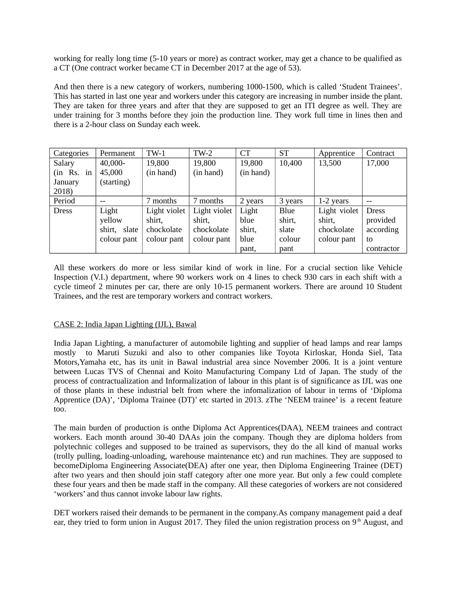working for really long time (5-10 years or more) as contract worker, may get a chance to be qualified as a CT (One contract worker became CT in December 2017 at the age of 53).

And then there is a new category of workers, numbering 1000-1500, which is called 'Student Trainees'. This has started in last one year and workers under this category are increasing in number inside the plant. They are taken for three years and after that they are supposed to get an ITI degree as well. They are under training for 3 months before they join the production line. They work full time in lines then and there is a 2-hour class on Sunday each week.

| Categories     | Permanent       | $TW-1$       | $TW-2$       | <b>CT</b> | <b>ST</b> | Apprentice   | Contract     |
|----------------|-----------------|--------------|--------------|-----------|-----------|--------------|--------------|
| Salary         | 40,000-         | 19,800       | 19,800       | 19,800    | 10,400    | 13,500       | 17,000       |
| $(in$ Rs. $in$ | 45,000          | (in hand)    | (in hand)    | (in hand) |           |              |              |
| January        | (starting)      |              |              |           |           |              |              |
| 2018)          |                 |              |              |           |           |              |              |
| Period         | $- -$           | 7 months     | 7 months     | 2 years   | 3 years   | 1-2 years    | $-$          |
| <b>Dress</b>   | Light           | Light violet | Light violet | Light     | Blue      | Light violet | <b>Dress</b> |
|                | yellow          | shirt,       | shirt,       | blue      | shirt,    | shirt,       | provided     |
|                | shirt,<br>slate | chockolate   | chockolate   | shirt,    | slate     | chockolate   | according    |
|                | colour pant     | colour pant  | colour pant  | blue      | colour    | colour pant  | to           |
|                |                 |              |              | pant,     | pant      |              | contractor   |

All these workers do more or less similar kind of work in line. For a crucial section like Vehicle Inspection (V.I.) department, where 90 workers work on 4 lines to check 930 cars in each shift with a cycle timeof 2 minutes per car, there are only 10-15 permanent workers. There are around 10 Student Trainees, and the rest are temporary workers and contract workers.

# CASE 2: India Japan Lighting (IJL), Bawal

India Japan Lighting, a manufacturer of automobile lighting and supplier of head lamps and rear lamps mostly to Maruti Suzuki and also to other companies like Toyota Kirloskar, Honda Siel, Tata Motors,Yamaha etc, has its unit in Bawal industrial area since November 2006. It is a joint venture between Lucas TVS of Chennai and Koito Manufacturing Company Ltd of Japan. The study of the process of contractualization and Informalization of labour in this plant is of significance as IJL was one of those plants in these industrial belt from where the infomalization of labour in terms of 'Diploma Apprentice (DA)', 'Diploma Trainee (DT)' etc started in 2013. zThe 'NEEM trainee' is a recent feature too.

The main burden of production is onthe Diploma Act Apprentices(DAA), NEEM trainees and contract workers. Each month around 30-40 DAAs join the company. Though they are diploma holders from polytechnic colleges and supposed to be trained as supervisors, they do the all kind of manual works (trolly pulling, loading-unloading, warehouse maintenance etc) and run machines. They are supposed to becomeDiploma Engineering Associate(DEA) after one year, then Diploma Engineering Trainee (DET) after two years and then should join staff category after one more year. But only a few could complete these four years and then be made staff in the company. All these categories of workers are not considered 'workers' and thus cannot invoke labour law rights.

DET workers raised their demands to be permanent in the company.As company management paid a deaf ear, they tried to form union in August 2017. They filed the union registration process on  $9<sup>th</sup>$  August, and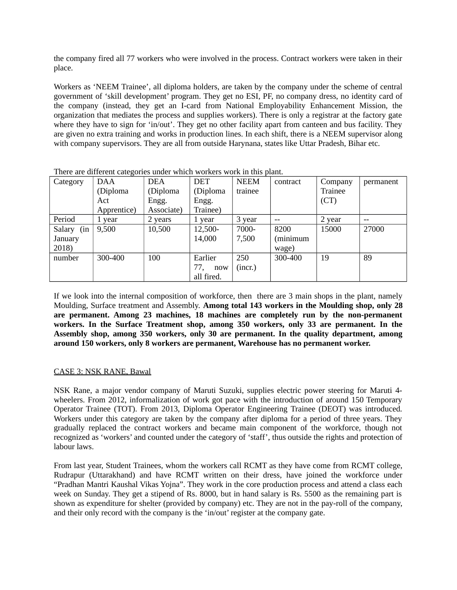the company fired all 77 workers who were involved in the process. Contract workers were taken in their place.

Workers as 'NEEM Trainee', all diploma holders, are taken by the company under the scheme of central government of 'skill development' program. They get no ESI, PF, no company dress, no identity card of the company (instead, they get an I-card from National Employability Enhancement Mission, the organization that mediates the process and supplies workers). There is only a registrar at the factory gate where they have to sign for 'in/out'. They get no other facility apart from canteen and bus facility. They are given no extra training and works in production lines. In each shift, there is a NEEM supervisor along with company supervisors. They are all from outside Harynana, states like Uttar Pradesh, Bihar etc.

| Category   | ີ<br>DAA    | <b>DEA</b> | <b>DET</b> | <b>NEEM</b>   | contract                 | Company | permanent |
|------------|-------------|------------|------------|---------------|--------------------------|---------|-----------|
|            | (Diploma    | (Diploma   | (Diploma   | trainee       |                          | Trainee |           |
|            | Act         | Engg.      | Engg.      |               |                          | (CT)    |           |
|            | Apprentice) | Associate) | Trainee)   |               |                          |         |           |
| Period     | 1 year      | 2 years    | 1 year     | 3 year        | $\overline{\phantom{m}}$ | 2 year  | --        |
| Salary (in | 9,500       | 10,500     | 12,500-    | 7000-         | 8200                     | 15000   | 27000     |
| January    |             |            | 14,000     | 7,500         | (minimum                 |         |           |
| 2018)      |             |            |            |               | wage)                    |         |           |
| number     | 300-400     | 100        | Earlier    | 250           | 300-400                  | 19      | 89        |
|            |             |            | 77,<br>now | $($ incr. $)$ |                          |         |           |
|            |             |            | all fired. |               |                          |         |           |

There are different categories under which workers work in this plant.

If we look into the internal composition of workforce, then there are 3 main shops in the plant, namely Moulding, Surface treatment and Assembly. **Among total 143 workers in the Moulding shop, only 28 are permanent. Among 23 machines, 18 machines are completely run by the non-permanent workers. In the Surface Treatment shop, among 350 workers, only 33 are permanent. In the Assembly shop, among 350 workers, only 30 are permanent. In the quality department, among around 150 workers, only 8 workers are permanent, Warehouse has no permanent worker.**

# CASE 3: NSK RANE, Bawal

NSK Rane, a major vendor company of Maruti Suzuki, supplies electric power steering for Maruti 4 wheelers. From 2012, informalization of work got pace with the introduction of around 150 Temporary Operator Trainee (TOT). From 2013, Diploma Operator Engineering Trainee (DEOT) was introduced. Workers under this category are taken by the company after diploma for a period of three years. They gradually replaced the contract workers and became main component of the workforce, though not recognized as 'workers' and counted under the category of 'staff', thus outside the rights and protection of labour laws.

From last year, Student Trainees, whom the workers call RCMT as they have come from RCMT college, Rudrapur (Uttarakhand) and have RCMT written on their dress, have joined the workforce under "Pradhan Mantri Kaushal Vikas Yojna". They work in the core production process and attend a class each week on Sunday. They get a stipend of Rs. 8000, but in hand salary is Rs. 5500 as the remaining part is shown as expenditure for shelter (provided by company) etc. They are not in the pay-roll of the company, and their only record with the company is the 'in/out' register at the company gate.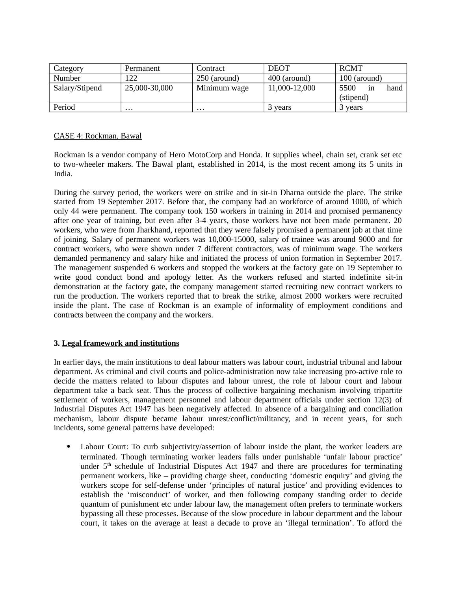| Category       | Permanent     | Contract     | <b>DEOT</b>   | <b>RCMT</b>            |  |
|----------------|---------------|--------------|---------------|------------------------|--|
| Number         | 122           | 250 (around) | 400 (around)  | 100 (around)           |  |
| Salary/Stipend | 25,000-30,000 | Minimum wage | 11,000-12,000 | hand $ $<br>5500<br>ın |  |
|                |               |              |               | (stipend)              |  |
| Period         | $\cdots$      | $\cdots$     | 3 years       | 3 years                |  |

# CASE 4: Rockman, Bawal

Rockman is a vendor company of Hero MotoCorp and Honda. It supplies wheel, chain set, crank set etc to two-wheeler makers. The Bawal plant, established in 2014, is the most recent among its 5 units in India.

During the survey period, the workers were on strike and in sit-in Dharna outside the place. The strike started from 19 September 2017. Before that, the company had an workforce of around 1000, of which only 44 were permanent. The company took 150 workers in training in 2014 and promised permanency after one year of training, but even after 3-4 years, those workers have not been made permanent. 20 workers, who were from Jharkhand, reported that they were falsely promised a permanent job at that time of joining. Salary of permanent workers was 10,000-15000, salary of trainee was around 9000 and for contract workers, who were shown under 7 different contractors, was of minimum wage. The workers demanded permanency and salary hike and initiated the process of union formation in September 2017. The management suspended 6 workers and stopped the workers at the factory gate on 19 September to write good conduct bond and apology letter. As the workers refused and started indefinite sit-in demonstration at the factory gate, the company management started recruiting new contract workers to run the production. The workers reported that to break the strike, almost 2000 workers were recruited inside the plant. The case of Rockman is an example of informality of employment conditions and contracts between the company and the workers.

# **3. Legal framework and institutions**

In earlier days, the main institutions to deal labour matters was labour court, industrial tribunal and labour department. As criminal and civil courts and police-administration now take increasing pro-active role to decide the matters related to labour disputes and labour unrest, the role of labour court and labour department take a back seat. Thus the process of collective bargaining mechanism involving tripartite settlement of workers, management personnel and labour department officials under section 12(3) of Industrial Disputes Act 1947 has been negatively affected. In absence of a bargaining and conciliation mechanism, labour dispute became labour unrest/conflict/militancy, and in recent years, for such incidents, some general patterns have developed:

 Labour Court: To curb subjectivity/assertion of labour inside the plant, the worker leaders are terminated. Though terminating worker leaders falls under punishable 'unfair labour practice' under  $5<sup>th</sup>$  schedule of Industrial Disputes Act 1947 and there are procedures for terminating permanent workers, like – providing charge sheet, conducting 'domestic enquiry' and giving the workers scope for self-defense under 'principles of natural justice' and providing evidences to establish the 'misconduct' of worker, and then following company standing order to decide quantum of punishment etc under labour law, the management often prefers to terminate workers bypassing all these processes. Because of the slow procedure in labour department and the labour court, it takes on the average at least a decade to prove an 'illegal termination'. To afford the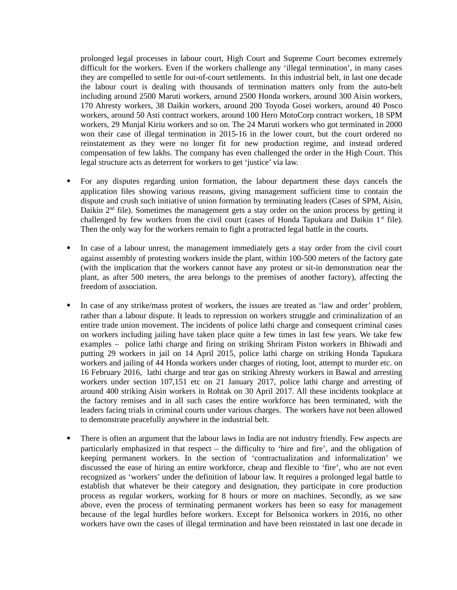prolonged legal processes in labour court, High Court and Supreme Court becomes extremely difficult for the workers. Even if the workers challenge any 'illegal termination', in many cases they are compelled to settle for out-of-court settlements. In this industrial belt, in last one decade the labour court is dealing with thousands of termination matters only from the auto-belt including around 2500 Maruti workers, around 2500 Honda workers, around 300 Aisin workers, 170 Ahresty workers, 38 Daikin workers, around 200 Toyoda Gosei workers, around 40 Posco workers, around 50 Asti contract workers, around 100 Hero MotoCorp contract workers, 18 SPM workers, 29 Munjal Kiriu workers and so on. The 24 Maruti workers who got terminated in 2000 won their case of illegal termination in 2015-16 in the lower court, but the court ordered no reinstatement as they were no longer fit for new production regime, and instead ordered compensation of few lakhs. The company has even challenged the order in the High Court. This legal structure acts as deterrent for workers to get 'justice' via law.

- For any disputes regarding union formation, the labour department these days cancels the application files showing various reasons, giving management sufficient time to contain the dispute and crush such initiative of union formation by terminating leaders (Cases of SPM, Aisin, Daikin  $2<sup>nd</sup>$  file). Sometimes the management gets a stay order on the union process by getting it challenged by few workers from the civil court (cases of Honda Tapukara and Daikin  $1<sup>st</sup>$  file). Then the only way for the workers remain to fight a protracted legal battle in the courts.
- In case of a labour unrest, the management immediately gets a stay order from the civil court against assembly of protesting workers inside the plant, within 100-500 meters of the factory gate (with the implication that the workers cannot have any protest or sit-in demonstration near the plant, as after 500 meters, the area belongs to the premises of another factory), affecting the freedom of association.
- In case of any strike/mass protest of workers, the issues are treated as 'law and order' problem, rather than a labour dispute. It leads to repression on workers struggle and criminalization of an entire trade union movement. The incidents of police lathi charge and consequent criminal cases on workers including jailing have taken place quite a few times in last few years. We take few examples – police lathi charge and firing on striking Shriram Piston workers in Bhiwadi and putting 29 workers in jail on 14 April 2015, police lathi charge on striking Honda Tapukara workers and jailing of 44 Honda workers under charges of rioting, loot, attempt to murder etc. on 16 February 2016, lathi charge and tear gas on striking Ahresty workers in Bawal and arresting workers under section 107,151 etc on 21 January 2017, police lathi charge and arresting of around 400 striking Aisin workers in Rohtak on 30 April 2017. All these incidents tookplace at the factory remises and in all such cases the entire workforce has been terminated, with the leaders facing trials in criminal courts under various charges. The workers have not been allowed to demonstrate peacefully anywhere in the industrial belt.
- There is often an argument that the labour laws in India are not industry friendly. Few aspects are particularly emphasized in that respect – the difficulty to 'hire and fire', and the obligation of keeping permanent workers. In the section of 'contractualization and informalization' we discussed the ease of hiring an entire workforce, cheap and flexible to 'fire', who are not even recognized as 'workers' under the definition of labour law. It requires a prolonged legal battle to establish that whatever be their category and designation, they participate in core production process as regular workers, working for 8 hours or more on machines. Secondly, as we saw above, even the process of terminating permanent workers has been so easy for management because of the legal hurdles before workers. Except for Belsonica workers in 2016, no other workers have own the cases of illegal termination and have been reinstated in last one decade in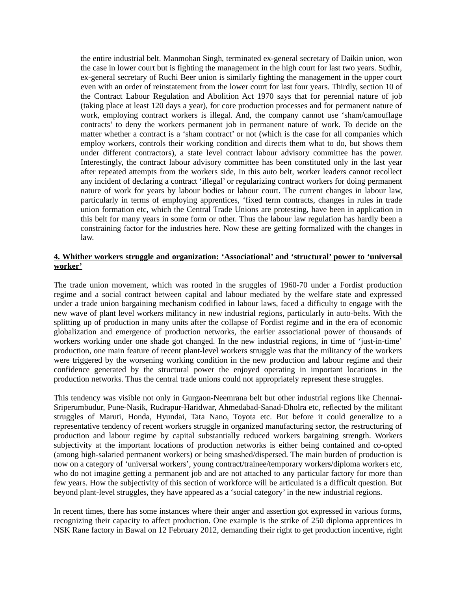the entire industrial belt. Manmohan Singh, terminated ex-general secretary of Daikin union, won the case in lower court but is fighting the management in the high court for last two years. Sudhir, ex-general secretary of Ruchi Beer union is similarly fighting the management in the upper court even with an order of reinstatement from the lower court for last four years. Thirdly, section 10 of the Contract Labour Regulation and Abolition Act 1970 says that for perennial nature of job (taking place at least 120 days a year), for core production processes and for permanent nature of work, employing contract workers is illegal. And, the company cannot use 'sham/camouflage contracts' to deny the workers permanent job in permanent nature of work. To decide on the matter whether a contract is a 'sham contract' or not (which is the case for all companies which employ workers, controls their working condition and directs them what to do, but shows them under different contractors), a state level contract labour advisory committee has the power. Interestingly, the contract labour advisory committee has been constituted only in the last year after repeated attempts from the workers side, In this auto belt, worker leaders cannot recollect any incident of declaring a contract 'illegal' or regularizing contract workers for doing permanent nature of work for years by labour bodies or labour court. The current changes in labour law, particularly in terms of employing apprentices, 'fixed term contracts, changes in rules in trade union formation etc, which the Central Trade Unions are protesting, have been in application in this belt for many years in some form or other. Thus the labour law regulation has hardly been a constraining factor for the industries here. Now these are getting formalized with the changes in law.

# **4. Whither workers struggle and organization: 'Associational' and 'structural' power to 'universal worker'**

The trade union movement, which was rooted in the sruggles of 1960-70 under a Fordist production regime and a social contract between capital and labour mediated by the welfare state and expressed under a trade union bargaining mechanism codified in labour laws, faced a difficulty to engage with the new wave of plant level workers militancy in new industrial regions, particularly in auto-belts. With the splitting up of production in many units after the collapse of Fordist regime and in the era of economic globalization and emergence of production networks, the earlier associational power of thousands of workers working under one shade got changed. In the new industrial regions, in time of 'just-in-time' production, one main feature of recent plant-level workers struggle was that the militancy of the workers were triggered by the worsening working condition in the new production and labour regime and their confidence generated by the structural power the enjoyed operating in important locations in the production networks. Thus the central trade unions could not appropriately represent these struggles.

This tendency was visible not only in Gurgaon-Neemrana belt but other industrial regions like Chennai-Sriperumbudur, Pune-Nasik, Rudrapur-Haridwar, Ahmedabad-Sanad-Dholra etc, reflected by the militant struggles of Maruti, Honda, Hyundai, Tata Nano, Toyota etc. But before it could generalize to a representative tendency of recent workers struggle in organized manufacturing sector, the restructuring of production and labour regime by capital substantially reduced workers bargaining strength. Workers subjectivity at the important locations of production networks is either being contained and co-opted (among high-salaried permanent workers) or being smashed/dispersed. The main burden of production is now on a category of 'universal workers', young contract/trainee/temporary workers/diploma workers etc, who do not imagine getting a permanent job and are not attached to any particular factory for more than few years. How the subjectivity of this section of workforce will be articulated is a difficult question. But beyond plant-level struggles, they have appeared as a 'social category' in the new industrial regions.

In recent times, there has some instances where their anger and assertion got expressed in various forms, recognizing their capacity to affect production. One example is the strike of 250 diploma apprentices in NSK Rane factory in Bawal on 12 February 2012, demanding their right to get production incentive, right